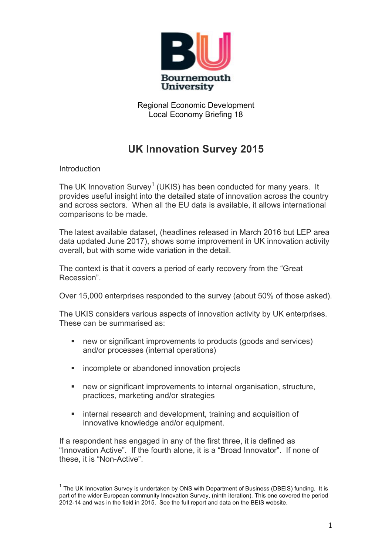

Regional Economic Development Local Economy Briefing 18

# **UK Innovation Survey 2015**

## Introduction

The UK Innovation Survey<sup>1</sup> (UKIS) has been conducted for many years. It provides useful insight into the detailed state of innovation across the country and across sectors. When all the EU data is available, it allows international comparisons to be made.

The latest available dataset, (headlines released in March 2016 but LEP area data updated June 2017), shows some improvement in UK innovation activity overall, but with some wide variation in the detail.

The context is that it covers a period of early recovery from the "Great Recession".

Over 15,000 enterprises responded to the survey (about 50% of those asked).

The UKIS considers various aspects of innovation activity by UK enterprises. These can be summarised as:

- new or significant improvements to products (goods and services) and/or processes (internal operations)
- incomplete or abandoned innovation projects
- new or significant improvements to internal organisation, structure, practices, marketing and/or strategies
- internal research and development, training and acquisition of innovative knowledge and/or equipment.

If a respondent has engaged in any of the first three, it is defined as "Innovation Active". If the fourth alone, it is a "Broad Innovator". If none of these, it is "Non-Active".

 $1$  The UK Innovation Survey is undertaken by ONS with Department of Business (DBEIS) funding. It is part of the wider European community Innovation Survey, (ninth iteration). This one covered the period 2012-14 and was in the field in 2015. See the full report and data on the BEIS website.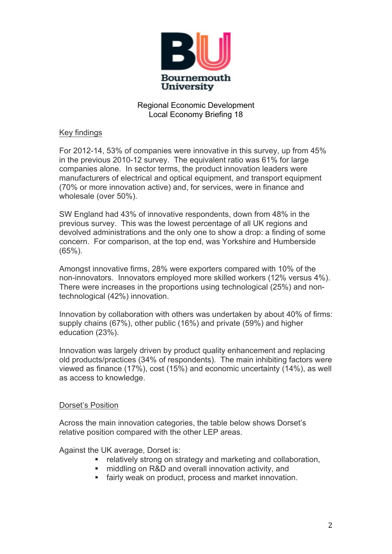

## Regional Economic Development Local Economy Briefing 18

## Key findings

For 2012-14, 53% of companies were innovative in this survey, up from 45% in the previous 2010-12 survey. The equivalent ratio was 61% for large companies alone. In sector terms, the product innovation leaders were manufacturers of electrical and optical equipment, and transport equipment (70% or more innovation active) and, for services, were in finance and wholesale (over 50%).

SW England had 43% of innovative respondents, down from 48% in the previous survey. This was the lowest percentage of all UK regions and devolved administrations and the only one to show a drop: a finding of some concern. For comparison, at the top end, was Yorkshire and Humberside (65%).

Amongst innovative firms, 28% were exporters compared with 10% of the non-innovators. Innovators employed more skilled workers (12% versus 4%). There were increases in the proportions using technological (25%) and nontechnological (42%) innovation.

Innovation by collaboration with others was undertaken by about 40% of firms: supply chains (67%), other public (16%) and private (59%) and higher education (23%).

Innovation was largely driven by product quality enhancement and replacing old products/practices (34% of respondents). The main inhibiting factors were viewed as finance (17%), cost (15%) and economic uncertainty (14%), as well as access to knowledge.

#### Dorset's Position

Across the main innovation categories, the table below shows Dorset's relative position compared with the other LEP areas.

Against the UK average, Dorset is:

- relatively strong on strategy and marketing and collaboration,
- middling on R&D and overall innovation activity, and
- fairly weak on product, process and market innovation.